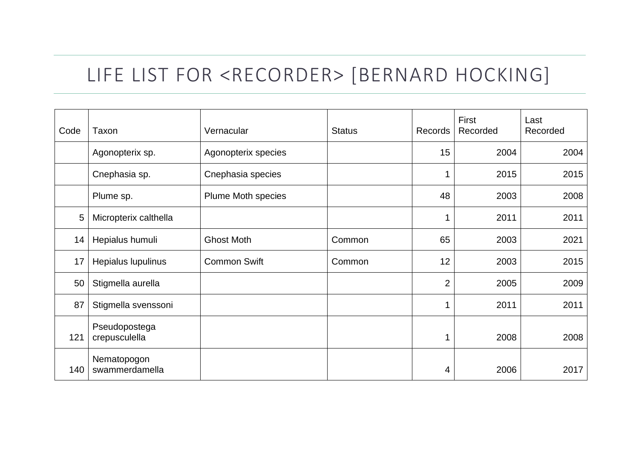## LIFE LIST FOR <RECORDER> [BERNARD HOCKING]

| Code | Taxon                          | Vernacular          | <b>Status</b> | Records        | First<br>Recorded | Last<br>Recorded |
|------|--------------------------------|---------------------|---------------|----------------|-------------------|------------------|
|      | Agonopterix sp.                | Agonopterix species |               | 15             | 2004              | 2004             |
|      | Cnephasia sp.                  | Cnephasia species   |               |                | 2015              | 2015             |
|      | Plume sp.                      | Plume Moth species  |               | 48             | 2003              | 2008             |
| 5    | Micropterix calthella          |                     |               |                | 2011              | 2011             |
| 14   | Hepialus humuli                | <b>Ghost Moth</b>   | Common        | 65             | 2003              | 2021             |
| 17   | Hepialus lupulinus             | <b>Common Swift</b> | Common        | 12             | 2003              | 2015             |
| 50   | Stigmella aurella              |                     |               | $\overline{2}$ | 2005              | 2009             |
| 87   | Stigmella svenssoni            |                     |               |                | 2011              | 2011             |
| 121  | Pseudopostega<br>crepusculella |                     |               |                | 2008              | 2008             |
| 140  | Nematopogon<br>swammerdamella  |                     |               | 4              | 2006              | 2017             |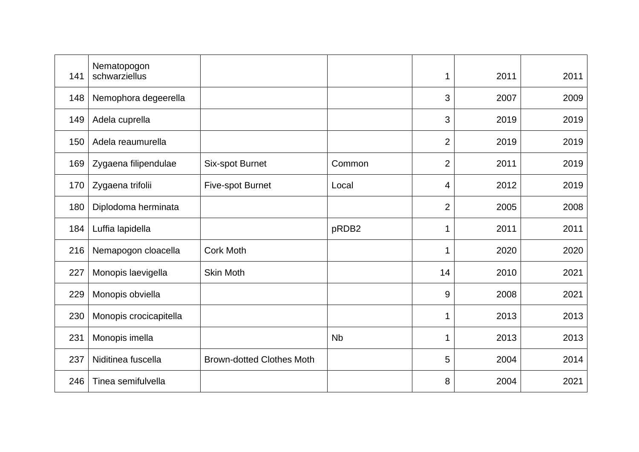| 141 | Nematopogon<br>schwarziellus |                                  |           | 1              | 2011 | 2011 |
|-----|------------------------------|----------------------------------|-----------|----------------|------|------|
| 148 | Nemophora degeerella         |                                  |           | 3              | 2007 | 2009 |
| 149 | Adela cuprella               |                                  |           | 3              | 2019 | 2019 |
| 150 | Adela reaumurella            |                                  |           | $\overline{2}$ | 2019 | 2019 |
| 169 | Zygaena filipendulae         | Six-spot Burnet                  | Common    | $\overline{2}$ | 2011 | 2019 |
| 170 | Zygaena trifolii             | <b>Five-spot Burnet</b>          | Local     | 4              | 2012 | 2019 |
| 180 | Diplodoma herminata          |                                  |           | $\overline{2}$ | 2005 | 2008 |
| 184 | Luffia lapidella             |                                  | pRDB2     | 1              | 2011 | 2011 |
| 216 | Nemapogon cloacella          | <b>Cork Moth</b>                 |           | 1              | 2020 | 2020 |
| 227 | Monopis laevigella           | <b>Skin Moth</b>                 |           | 14             | 2010 | 2021 |
| 229 | Monopis obviella             |                                  |           | 9              | 2008 | 2021 |
| 230 | Monopis crocicapitella       |                                  |           | 1              | 2013 | 2013 |
| 231 | Monopis imella               |                                  | <b>Nb</b> |                | 2013 | 2013 |
| 237 | Niditinea fuscella           | <b>Brown-dotted Clothes Moth</b> |           | 5              | 2004 | 2014 |
| 246 | Tinea semifulvella           |                                  |           | 8              | 2004 | 2021 |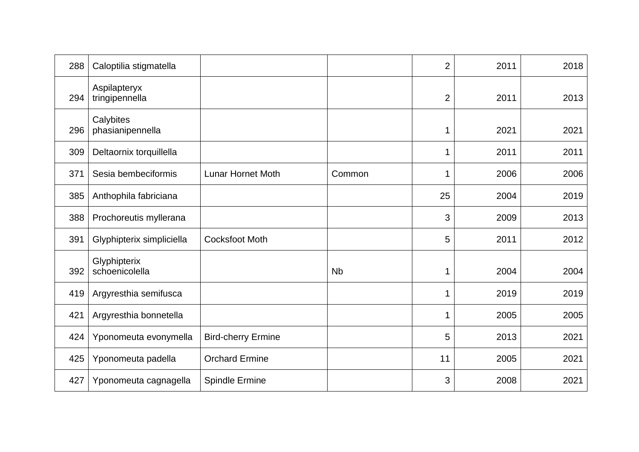| 288 | Caloptilia stigmatella         |                           |           | 2              | 2011 | 2018 |
|-----|--------------------------------|---------------------------|-----------|----------------|------|------|
| 294 | Aspilapteryx<br>tringipennella |                           |           | $\overline{2}$ | 2011 | 2013 |
| 296 | Calybites<br>phasianipennella  |                           |           | 1              | 2021 | 2021 |
| 309 | Deltaornix torquillella        |                           |           | 1              | 2011 | 2011 |
| 371 | Sesia bembeciformis            | <b>Lunar Hornet Moth</b>  | Common    | 1              | 2006 | 2006 |
| 385 | Anthophila fabriciana          |                           |           | 25             | 2004 | 2019 |
| 388 | Prochoreutis myllerana         |                           |           | 3              | 2009 | 2013 |
| 391 | Glyphipterix simpliciella      | <b>Cocksfoot Moth</b>     |           | 5              | 2011 | 2012 |
| 392 | Glyphipterix<br>schoenicolella |                           | <b>Nb</b> | 1              | 2004 | 2004 |
| 419 | Argyresthia semifusca          |                           |           |                | 2019 | 2019 |
| 421 | Argyresthia bonnetella         |                           |           | 1              | 2005 | 2005 |
| 424 | Yponomeuta evonymella          | <b>Bird-cherry Ermine</b> |           | 5              | 2013 | 2021 |
| 425 | Yponomeuta padella             | <b>Orchard Ermine</b>     |           | 11             | 2005 | 2021 |
| 427 | Yponomeuta cagnagella          | <b>Spindle Ermine</b>     |           | 3              | 2008 | 2021 |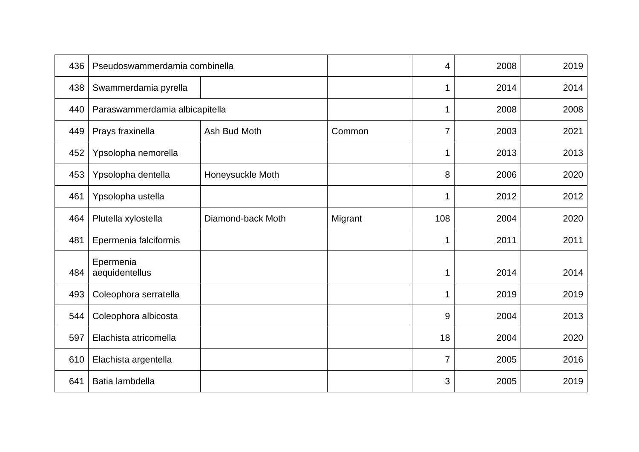| 436 | Pseudoswammerdamia combinella  |                   |         | 4   | 2008 | 2019 |
|-----|--------------------------------|-------------------|---------|-----|------|------|
| 438 | Swammerdamia pyrella           |                   |         | 1   | 2014 | 2014 |
| 440 | Paraswammerdamia albicapitella |                   |         | 1   | 2008 | 2008 |
| 449 | Prays fraxinella               | Ash Bud Moth      | Common  | 7   | 2003 | 2021 |
| 452 | Ypsolopha nemorella            |                   |         | 1   | 2013 | 2013 |
| 453 | Ypsolopha dentella             | Honeysuckle Moth  |         | 8   | 2006 | 2020 |
| 461 | Ypsolopha ustella              |                   |         | 1   | 2012 | 2012 |
| 464 | Plutella xylostella            | Diamond-back Moth | Migrant | 108 | 2004 | 2020 |
| 481 | Epermenia falciformis          |                   |         | 1   | 2011 | 2011 |
| 484 | Epermenia<br>aequidentellus    |                   |         | 1   | 2014 | 2014 |
| 493 | Coleophora serratella          |                   |         | 1   | 2019 | 2019 |
| 544 | Coleophora albicosta           |                   |         | 9   | 2004 | 2013 |
| 597 | Elachista atricomella          |                   |         | 18  | 2004 | 2020 |
| 610 | Elachista argentella           |                   |         | 7   | 2005 | 2016 |
| 641 | Batia lambdella                |                   |         | 3   | 2005 | 2019 |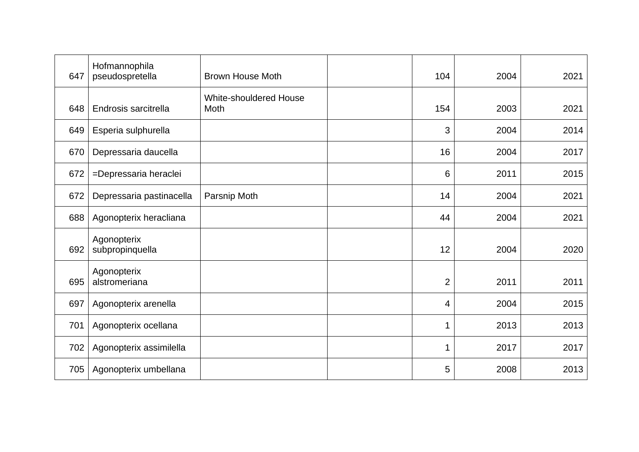| 647 | Hofmannophila<br>pseudospretella | <b>Brown House Moth</b>               | 104            | 2004 | 2021 |
|-----|----------------------------------|---------------------------------------|----------------|------|------|
| 648 | Endrosis sarcitrella             | <b>White-shouldered House</b><br>Moth | 154            | 2003 | 2021 |
| 649 | Esperia sulphurella              |                                       | 3              | 2004 | 2014 |
| 670 | Depressaria daucella             |                                       | 16             | 2004 | 2017 |
| 672 | =Depressaria heraclei            |                                       | 6              | 2011 | 2015 |
| 672 | Depressaria pastinacella         | Parsnip Moth                          | 14             | 2004 | 2021 |
| 688 | Agonopterix heracliana           |                                       | 44             | 2004 | 2021 |
| 692 | Agonopterix<br>subpropinquella   |                                       | 12             | 2004 | 2020 |
| 695 | Agonopterix<br>alstromeriana     |                                       | $\overline{2}$ | 2011 | 2011 |
| 697 | Agonopterix arenella             |                                       | 4              | 2004 | 2015 |
| 701 | Agonopterix ocellana             |                                       |                | 2013 | 2013 |
| 702 | Agonopterix assimilella          |                                       |                | 2017 | 2017 |
| 705 | Agonopterix umbellana            |                                       | 5              | 2008 | 2013 |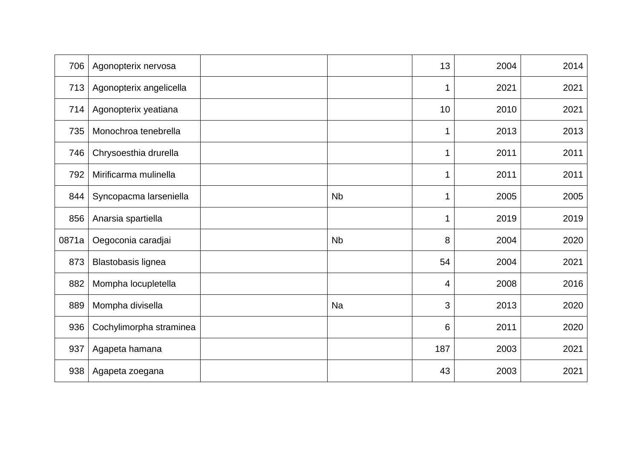| 706   | Agonopterix nervosa     |           | 13  | 2004 | 2014 |
|-------|-------------------------|-----------|-----|------|------|
| 713   | Agonopterix angelicella |           |     | 2021 | 2021 |
| 714   | Agonopterix yeatiana    |           | 10  | 2010 | 2021 |
| 735   | Monochroa tenebrella    |           |     | 2013 | 2013 |
| 746   | Chrysoesthia drurella   |           | 1   | 2011 | 2011 |
| 792   | Mirificarma mulinella   |           |     | 2011 | 2011 |
| 844   | Syncopacma larseniella  | <b>Nb</b> |     | 2005 | 2005 |
| 856   | Anarsia spartiella      |           |     | 2019 | 2019 |
| 0871a | Oegoconia caradjai      | <b>Nb</b> | 8   | 2004 | 2020 |
| 873   | Blastobasis lignea      |           | 54  | 2004 | 2021 |
| 882   | Mompha locupletella     |           | 4   | 2008 | 2016 |
| 889   | Mompha divisella        | Na        | 3   | 2013 | 2020 |
| 936   | Cochylimorpha straminea |           | 6   | 2011 | 2020 |
| 937   | Agapeta hamana          |           | 187 | 2003 | 2021 |
| 938   | Agapeta zoegana         |           | 43  | 2003 | 2021 |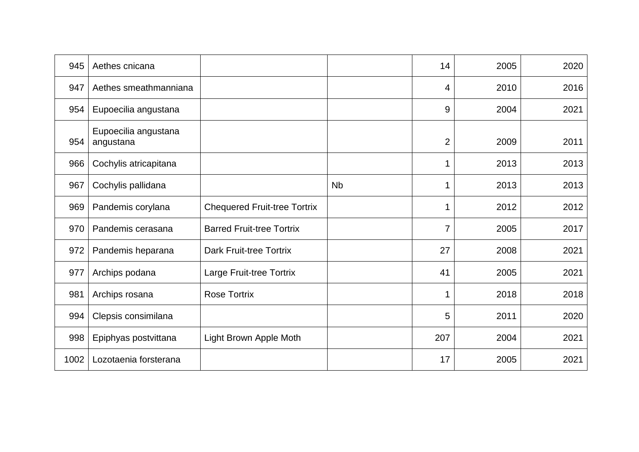| 945  | Aethes cnicana                    |                                     |           | 14             | 2005 | 2020 |
|------|-----------------------------------|-------------------------------------|-----------|----------------|------|------|
| 947  | Aethes smeathmanniana             |                                     |           | 4              | 2010 | 2016 |
| 954  | Eupoecilia angustana              |                                     |           | 9              | 2004 | 2021 |
| 954  | Eupoecilia angustana<br>angustana |                                     |           | $\overline{2}$ | 2009 | 2011 |
| 966  | Cochylis atricapitana             |                                     |           |                | 2013 | 2013 |
| 967  | Cochylis pallidana                |                                     | <b>Nb</b> |                | 2013 | 2013 |
| 969  | Pandemis corylana                 | <b>Chequered Fruit-tree Tortrix</b> |           |                | 2012 | 2012 |
| 970  | Pandemis cerasana                 | <b>Barred Fruit-tree Tortrix</b>    |           |                | 2005 | 2017 |
| 972  | Pandemis heparana                 | <b>Dark Fruit-tree Tortrix</b>      |           | 27             | 2008 | 2021 |
| 977  | Archips podana                    | Large Fruit-tree Tortrix            |           | 41             | 2005 | 2021 |
| 981  | Archips rosana                    | <b>Rose Tortrix</b>                 |           |                | 2018 | 2018 |
| 994  | Clepsis consimilana               |                                     |           | 5              | 2011 | 2020 |
| 998  | Epiphyas postvittana              | Light Brown Apple Moth              |           | 207            | 2004 | 2021 |
| 1002 | Lozotaenia forsterana             |                                     |           | 17             | 2005 | 2021 |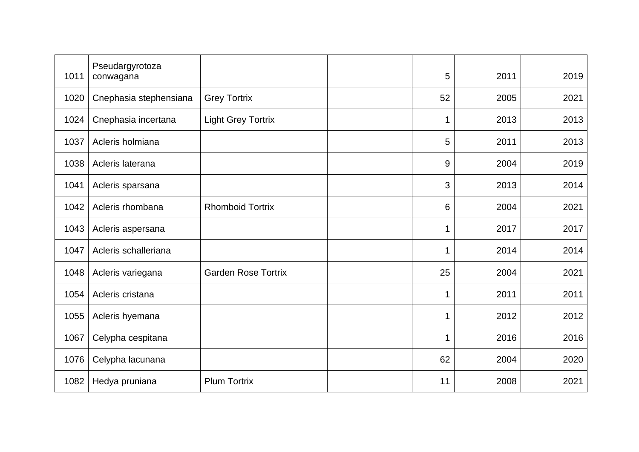| 1011 | Pseudargyrotoza<br>conwagana |                            | 5  | 2011 | 2019 |
|------|------------------------------|----------------------------|----|------|------|
| 1020 | Cnephasia stephensiana       | <b>Grey Tortrix</b>        | 52 | 2005 | 2021 |
| 1024 | Cnephasia incertana          | <b>Light Grey Tortrix</b>  | 1  | 2013 | 2013 |
| 1037 | Acleris holmiana             |                            | 5  | 2011 | 2013 |
| 1038 | Acleris laterana             |                            | 9  | 2004 | 2019 |
| 1041 | Acleris sparsana             |                            | 3  | 2013 | 2014 |
| 1042 | Acleris rhombana             | <b>Rhomboid Tortrix</b>    | 6  | 2004 | 2021 |
| 1043 | Acleris aspersana            |                            | 1  | 2017 | 2017 |
| 1047 | Acleris schalleriana         |                            | 1  | 2014 | 2014 |
| 1048 | Acleris variegana            | <b>Garden Rose Tortrix</b> | 25 | 2004 | 2021 |
| 1054 | Acleris cristana             |                            | 1  | 2011 | 2011 |
| 1055 | Acleris hyemana              |                            | 1  | 2012 | 2012 |
| 1067 | Celypha cespitana            |                            |    | 2016 | 2016 |
| 1076 | Celypha lacunana             |                            | 62 | 2004 | 2020 |
| 1082 | Hedya pruniana               | <b>Plum Tortrix</b>        | 11 | 2008 | 2021 |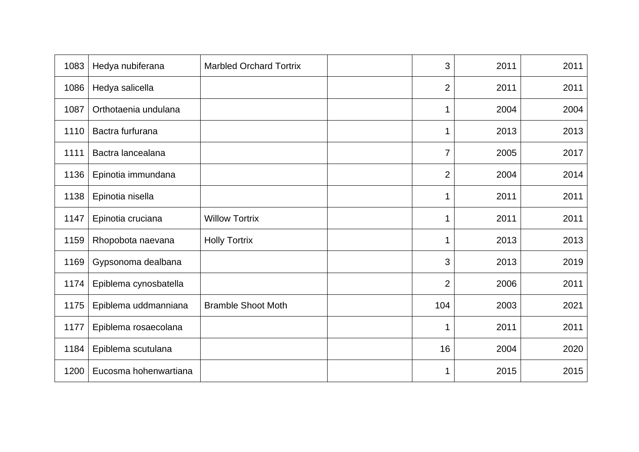| 1083 | Hedya nubiferana      | <b>Marbled Orchard Tortrix</b> | 3              | 2011 | 2011 |
|------|-----------------------|--------------------------------|----------------|------|------|
| 1086 | Hedya salicella       |                                | $\overline{2}$ | 2011 | 2011 |
| 1087 | Orthotaenia undulana  |                                | 1              | 2004 | 2004 |
| 1110 | Bactra furfurana      |                                | 1              | 2013 | 2013 |
| 1111 | Bactra lancealana     |                                | 7              | 2005 | 2017 |
| 1136 | Epinotia immundana    |                                | 2              | 2004 | 2014 |
| 1138 | Epinotia nisella      |                                | 1              | 2011 | 2011 |
| 1147 | Epinotia cruciana     | <b>Willow Tortrix</b>          | 1              | 2011 | 2011 |
| 1159 | Rhopobota naevana     | <b>Holly Tortrix</b>           |                | 2013 | 2013 |
| 1169 | Gypsonoma dealbana    |                                | 3              | 2013 | 2019 |
| 1174 | Epiblema cynosbatella |                                | $\overline{2}$ | 2006 | 2011 |
| 1175 | Epiblema uddmanniana  | <b>Bramble Shoot Moth</b>      | 104            | 2003 | 2021 |
| 1177 | Epiblema rosaecolana  |                                |                | 2011 | 2011 |
| 1184 | Epiblema scutulana    |                                | 16             | 2004 | 2020 |
| 1200 | Eucosma hohenwartiana |                                |                | 2015 | 2015 |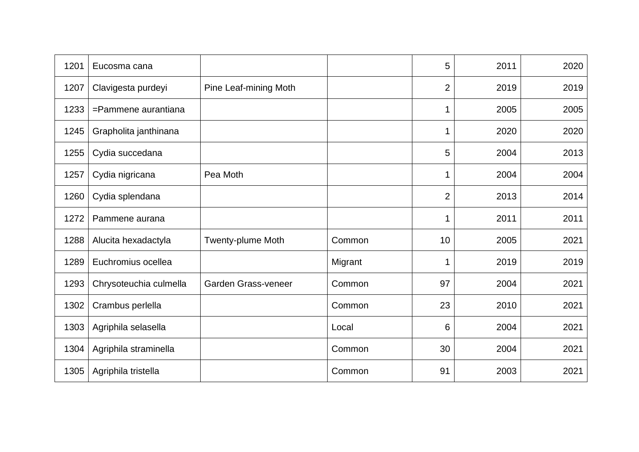| 1201 | Eucosma cana           |                          |         | 5              | 2011 | 2020 |
|------|------------------------|--------------------------|---------|----------------|------|------|
| 1207 | Clavigesta purdeyi     | Pine Leaf-mining Moth    |         | $\overline{2}$ | 2019 | 2019 |
| 1233 | =Pammene aurantiana    |                          |         | 1              | 2005 | 2005 |
| 1245 | Grapholita janthinana  |                          |         | 1              | 2020 | 2020 |
| 1255 | Cydia succedana        |                          |         | 5              | 2004 | 2013 |
| 1257 | Cydia nigricana        | Pea Moth                 |         |                | 2004 | 2004 |
| 1260 | Cydia splendana        |                          |         | $\overline{2}$ | 2013 | 2014 |
| 1272 | Pammene aurana         |                          |         |                | 2011 | 2011 |
| 1288 | Alucita hexadactyla    | <b>Twenty-plume Moth</b> | Common  | 10             | 2005 | 2021 |
| 1289 | Euchromius ocellea     |                          | Migrant |                | 2019 | 2019 |
| 1293 | Chrysoteuchia culmella | Garden Grass-veneer      | Common  | 97             | 2004 | 2021 |
| 1302 | Crambus perlella       |                          | Common  | 23             | 2010 | 2021 |
| 1303 | Agriphila selasella    |                          | Local   | 6              | 2004 | 2021 |
| 1304 | Agriphila straminella  |                          | Common  | 30             | 2004 | 2021 |
| 1305 | Agriphila tristella    |                          | Common  | 91             | 2003 | 2021 |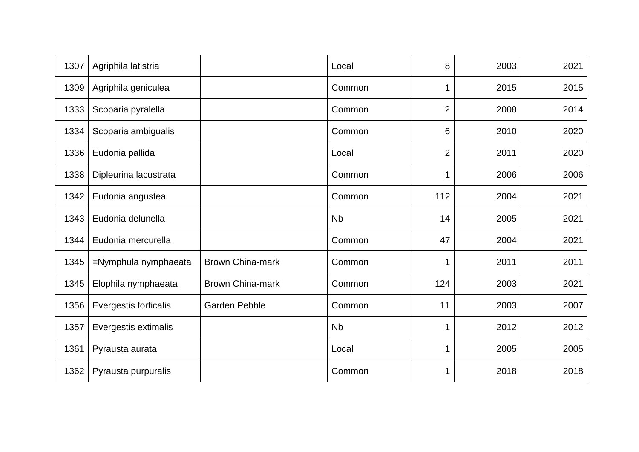| 1307 | Agriphila latistria   |                         | Local     | 8              | 2003 | 2021 |
|------|-----------------------|-------------------------|-----------|----------------|------|------|
| 1309 | Agriphila geniculea   |                         | Common    | 1              | 2015 | 2015 |
| 1333 | Scoparia pyralella    |                         | Common    | $\overline{2}$ | 2008 | 2014 |
| 1334 | Scoparia ambigualis   |                         | Common    | 6              | 2010 | 2020 |
| 1336 | Eudonia pallida       |                         | Local     | $\overline{2}$ | 2011 | 2020 |
| 1338 | Dipleurina lacustrata |                         | Common    | 1              | 2006 | 2006 |
| 1342 | Eudonia angustea      |                         | Common    | 112            | 2004 | 2021 |
| 1343 | Eudonia delunella     |                         | <b>Nb</b> | 14             | 2005 | 2021 |
| 1344 | Eudonia mercurella    |                         | Common    | 47             | 2004 | 2021 |
| 1345 | =Nymphula nymphaeata  | <b>Brown China-mark</b> | Common    | 1              | 2011 | 2011 |
| 1345 | Elophila nymphaeata   | <b>Brown China-mark</b> | Common    | 124            | 2003 | 2021 |
| 1356 | Evergestis forficalis | <b>Garden Pebble</b>    | Common    | 11             | 2003 | 2007 |
| 1357 | Evergestis extimalis  |                         | <b>Nb</b> | 1              | 2012 | 2012 |
| 1361 | Pyrausta aurata       |                         | Local     | 1              | 2005 | 2005 |
| 1362 | Pyrausta purpuralis   |                         | Common    | 1              | 2018 | 2018 |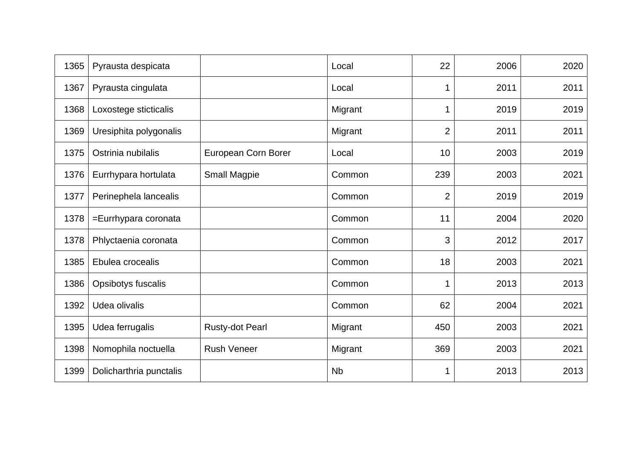| 1365 | Pyrausta despicata      |                        | Local     | 22             | 2006 | 2020 |
|------|-------------------------|------------------------|-----------|----------------|------|------|
| 1367 | Pyrausta cingulata      |                        | Local     | 1              | 2011 | 2011 |
| 1368 | Loxostege sticticalis   |                        | Migrant   | 1              | 2019 | 2019 |
| 1369 | Uresiphita polygonalis  |                        | Migrant   | $\overline{2}$ | 2011 | 2011 |
| 1375 | Ostrinia nubilalis      | European Corn Borer    | Local     | 10             | 2003 | 2019 |
| 1376 | Eurrhypara hortulata    | Small Magpie           | Common    | 239            | 2003 | 2021 |
| 1377 | Perinephela lancealis   |                        | Common    | $\overline{2}$ | 2019 | 2019 |
| 1378 | =Eurrhypara coronata    |                        | Common    | 11             | 2004 | 2020 |
| 1378 | Phlyctaenia coronata    |                        | Common    | 3              | 2012 | 2017 |
| 1385 | Ebulea crocealis        |                        | Common    | 18             | 2003 | 2021 |
| 1386 | Opsibotys fuscalis      |                        | Common    | 1              | 2013 | 2013 |
| 1392 | Udea olivalis           |                        | Common    | 62             | 2004 | 2021 |
| 1395 | Udea ferrugalis         | <b>Rusty-dot Pearl</b> | Migrant   | 450            | 2003 | 2021 |
| 1398 | Nomophila noctuella     | <b>Rush Veneer</b>     | Migrant   | 369            | 2003 | 2021 |
| 1399 | Dolicharthria punctalis |                        | <b>Nb</b> | 1              | 2013 | 2013 |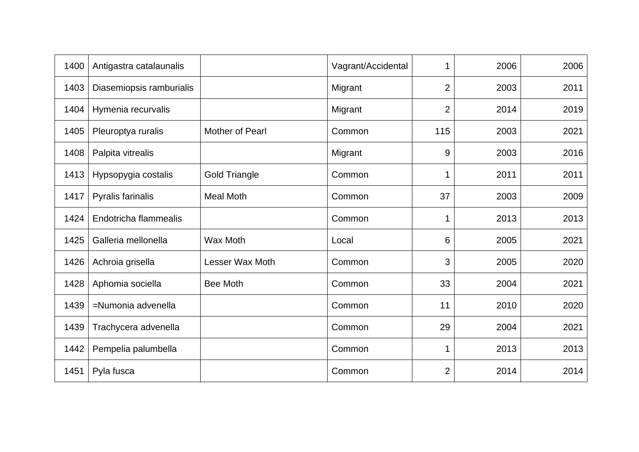| 1400 | Antigastra catalaunalis  |                      | Vagrant/Accidental | 1              | 2006 | 2006 |
|------|--------------------------|----------------------|--------------------|----------------|------|------|
| 1403 | Diasemiopsis ramburialis |                      | Migrant            | $\overline{2}$ | 2003 | 2011 |
| 1404 | Hymenia recurvalis       |                      | Migrant            | $\overline{2}$ | 2014 | 2019 |
| 1405 | Pleuroptya ruralis       | Mother of Pearl      | Common             | 115            | 2003 | 2021 |
| 1408 | Palpita vitrealis        |                      | Migrant            | 9              | 2003 | 2016 |
| 1413 | Hypsopygia costalis      | <b>Gold Triangle</b> | Common             | 1              | 2011 | 2011 |
| 1417 | Pyralis farinalis        | <b>Meal Moth</b>     | Common             | 37             | 2003 | 2009 |
| 1424 | Endotricha flammealis    |                      | Common             | 1              | 2013 | 2013 |
| 1425 | Galleria mellonella      | <b>Wax Moth</b>      | Local              | 6              | 2005 | 2021 |
| 1426 | Achroia grisella         | Lesser Wax Moth      | Common             | 3              | 2005 | 2020 |
| 1428 | Aphomia sociella         | <b>Bee Moth</b>      | Common             | 33             | 2004 | 2021 |
| 1439 | =Numonia advenella       |                      | Common             | 11             | 2010 | 2020 |
| 1439 | Trachycera advenella     |                      | Common             | 29             | 2004 | 2021 |
| 1442 | Pempelia palumbella      |                      | Common             | 1              | 2013 | 2013 |
| 1451 | Pyla fusca               |                      | Common             | $\overline{2}$ | 2014 | 2014 |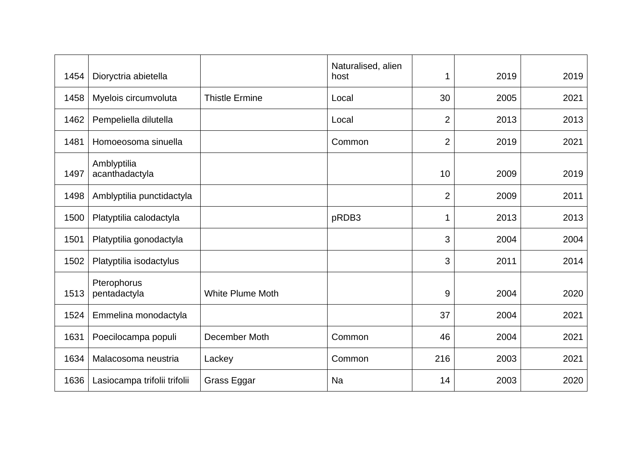| 1454 | Dioryctria abietella          |                         | Naturalised, alien<br>host | 1              | 2019 | 2019 |
|------|-------------------------------|-------------------------|----------------------------|----------------|------|------|
| 1458 | Myelois circumvoluta          | <b>Thistle Ermine</b>   | Local                      | 30             | 2005 | 2021 |
| 1462 | Pempeliella dilutella         |                         | Local                      | $\overline{2}$ | 2013 | 2013 |
| 1481 | Homoeosoma sinuella           |                         | Common                     | $\overline{2}$ | 2019 | 2021 |
| 1497 | Amblyptilia<br>acanthadactyla |                         |                            | 10             | 2009 | 2019 |
| 1498 | Amblyptilia punctidactyla     |                         |                            | $\overline{2}$ | 2009 | 2011 |
| 1500 | Platyptilia calodactyla       |                         | pRDB3                      |                | 2013 | 2013 |
| 1501 | Platyptilia gonodactyla       |                         |                            | 3              | 2004 | 2004 |
| 1502 | Platyptilia isodactylus       |                         |                            | 3              | 2011 | 2014 |
| 1513 | Pterophorus<br>pentadactyla   | <b>White Plume Moth</b> |                            | 9              | 2004 | 2020 |
| 1524 | Emmelina monodactyla          |                         |                            | 37             | 2004 | 2021 |
| 1631 | Poecilocampa populi           | December Moth           | Common                     | 46             | 2004 | 2021 |
| 1634 | Malacosoma neustria           | Lackey                  | Common                     | 216            | 2003 | 2021 |
| 1636 | Lasiocampa trifolii trifolii  | Grass Eggar             | Na                         | 14             | 2003 | 2020 |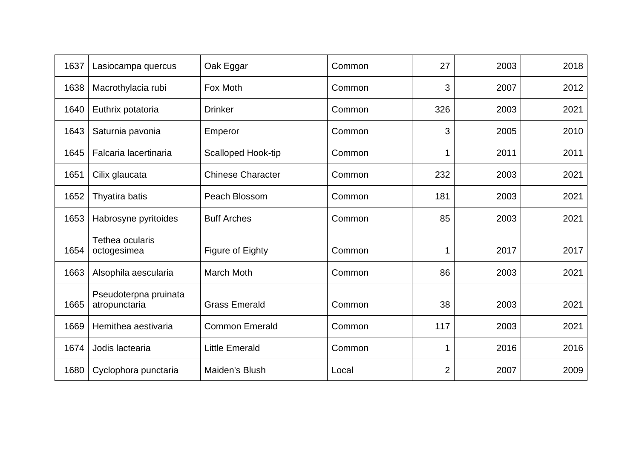| 1637 | Lasiocampa quercus                     | Oak Eggar                | Common | 27             | 2003 | 2018 |
|------|----------------------------------------|--------------------------|--------|----------------|------|------|
| 1638 | Macrothylacia rubi                     | Fox Moth                 | Common | 3              | 2007 | 2012 |
| 1640 | Euthrix potatoria                      | <b>Drinker</b>           | Common | 326            | 2003 | 2021 |
| 1643 | Saturnia pavonia                       | Emperor                  | Common | 3              | 2005 | 2010 |
| 1645 | Falcaria lacertinaria                  | Scalloped Hook-tip       | Common |                | 2011 | 2011 |
| 1651 | Cilix glaucata                         | <b>Chinese Character</b> | Common | 232            | 2003 | 2021 |
| 1652 | Thyatira batis                         | Peach Blossom            | Common | 181            | 2003 | 2021 |
| 1653 | Habrosyne pyritoides                   | <b>Buff Arches</b>       | Common | 85             | 2003 | 2021 |
| 1654 | Tethea ocularis<br>octogesimea         | Figure of Eighty         | Common |                | 2017 | 2017 |
| 1663 | Alsophila aescularia                   | <b>March Moth</b>        | Common | 86             | 2003 | 2021 |
| 1665 | Pseudoterpna pruinata<br>atropunctaria | <b>Grass Emerald</b>     | Common | 38             | 2003 | 2021 |
| 1669 | Hemithea aestivaria                    | <b>Common Emerald</b>    | Common | 117            | 2003 | 2021 |
| 1674 | Jodis lactearia                        | <b>Little Emerald</b>    | Common |                | 2016 | 2016 |
| 1680 | Cyclophora punctaria                   | Maiden's Blush           | Local  | $\overline{2}$ | 2007 | 2009 |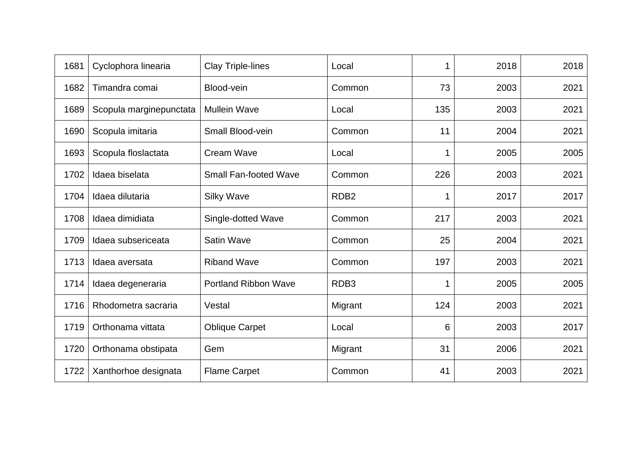| 1681 | Cyclophora linearia     | <b>Clay Triple-lines</b>     | Local            |     | 2018 | 2018 |
|------|-------------------------|------------------------------|------------------|-----|------|------|
| 1682 | Timandra comai          | Blood-vein                   | Common           | 73  | 2003 | 2021 |
| 1689 | Scopula marginepunctata | <b>Mullein Wave</b>          | Local            | 135 | 2003 | 2021 |
| 1690 | Scopula imitaria        | <b>Small Blood-vein</b>      | Common           | 11  | 2004 | 2021 |
| 1693 | Scopula floslactata     | <b>Cream Wave</b>            | Local            |     | 2005 | 2005 |
| 1702 | Idaea biselata          | <b>Small Fan-footed Wave</b> | Common           | 226 | 2003 | 2021 |
| 1704 | Idaea dilutaria         | <b>Silky Wave</b>            | RDB <sub>2</sub> |     | 2017 | 2017 |
| 1708 | Idaea dimidiata         | Single-dotted Wave           | Common           | 217 | 2003 | 2021 |
| 1709 | Idaea subsericeata      | <b>Satin Wave</b>            | Common           | 25  | 2004 | 2021 |
| 1713 | Idaea aversata          | <b>Riband Wave</b>           | Common           | 197 | 2003 | 2021 |
| 1714 | Idaea degeneraria       | <b>Portland Ribbon Wave</b>  | RDB <sub>3</sub> |     | 2005 | 2005 |
| 1716 | Rhodometra sacraria     | Vestal                       | Migrant          | 124 | 2003 | 2021 |
| 1719 | Orthonama vittata       | <b>Oblique Carpet</b>        | Local            | 6   | 2003 | 2017 |
| 1720 | Orthonama obstipata     | Gem                          | Migrant          | 31  | 2006 | 2021 |
| 1722 | Xanthorhoe designata    | <b>Flame Carpet</b>          | Common           | 41  | 2003 | 2021 |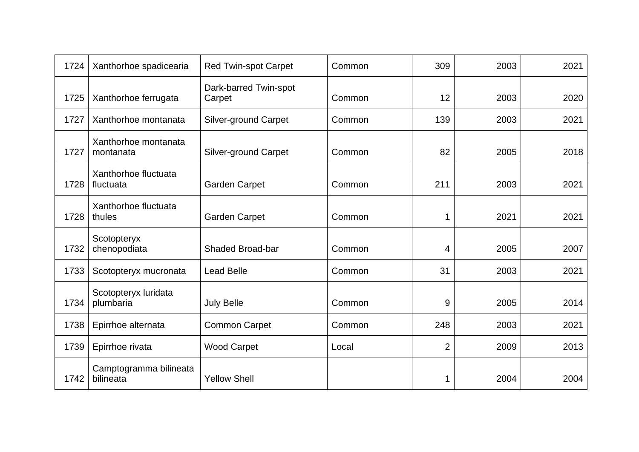| 1724 | Xanthorhoe spadicearia              | <b>Red Twin-spot Carpet</b>     | Common | 309            | 2003 | 2021 |
|------|-------------------------------------|---------------------------------|--------|----------------|------|------|
| 1725 | Xanthorhoe ferrugata                | Dark-barred Twin-spot<br>Carpet | Common | 12             | 2003 | 2020 |
| 1727 | Xanthorhoe montanata                | <b>Silver-ground Carpet</b>     | Common | 139            | 2003 | 2021 |
| 1727 | Xanthorhoe montanata<br>montanata   | <b>Silver-ground Carpet</b>     | Common | 82             | 2005 | 2018 |
| 1728 | Xanthorhoe fluctuata<br>fluctuata   | <b>Garden Carpet</b>            | Common | 211            | 2003 | 2021 |
| 1728 | Xanthorhoe fluctuata<br>thules      | <b>Garden Carpet</b>            | Common |                | 2021 | 2021 |
| 1732 | Scotopteryx<br>chenopodiata         | <b>Shaded Broad-bar</b>         | Common | 4              | 2005 | 2007 |
| 1733 | Scotopteryx mucronata               | <b>Lead Belle</b>               | Common | 31             | 2003 | 2021 |
| 1734 | Scotopteryx luridata<br>plumbaria   | <b>July Belle</b>               | Common | 9              | 2005 | 2014 |
| 1738 | Epirrhoe alternata                  | <b>Common Carpet</b>            | Common | 248            | 2003 | 2021 |
| 1739 | Epirrhoe rivata                     | <b>Wood Carpet</b>              | Local  | $\overline{2}$ | 2009 | 2013 |
| 1742 | Camptogramma bilineata<br>bilineata | <b>Yellow Shell</b>             |        |                | 2004 | 2004 |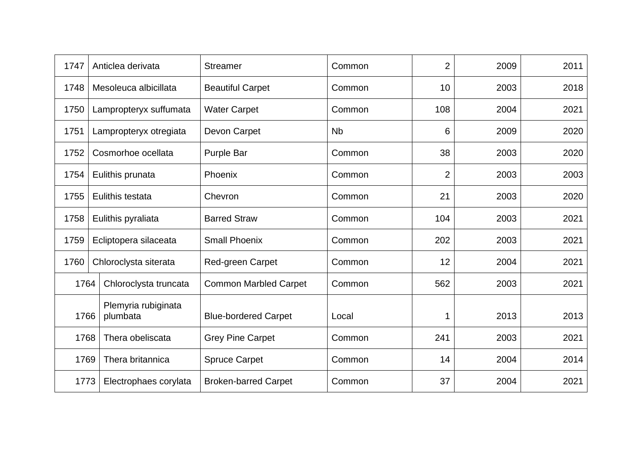| 1747 | Anticlea derivata               | <b>Streamer</b>              | Common    | $\overline{2}$ | 2009 | 2011 |
|------|---------------------------------|------------------------------|-----------|----------------|------|------|
| 1748 | Mesoleuca albicillata           | <b>Beautiful Carpet</b>      | Common    | 10             | 2003 | 2018 |
| 1750 | Lampropteryx suffumata          | <b>Water Carpet</b>          | Common    | 108            | 2004 | 2021 |
| 1751 | Lampropteryx otregiata          | Devon Carpet                 | <b>Nb</b> | 6              | 2009 | 2020 |
| 1752 | Cosmorhoe ocellata              | <b>Purple Bar</b>            | Common    | 38             | 2003 | 2020 |
| 1754 | Eulithis prunata                | Phoenix                      | Common    | $\overline{2}$ | 2003 | 2003 |
| 1755 | Eulithis testata                | Chevron                      | Common    | 21             | 2003 | 2020 |
| 1758 | Eulithis pyraliata              | <b>Barred Straw</b>          | Common    | 104            | 2003 | 2021 |
| 1759 | Ecliptopera silaceata           | <b>Small Phoenix</b>         | Common    | 202            | 2003 | 2021 |
| 1760 | Chloroclysta siterata           | <b>Red-green Carpet</b>      | Common    | 12             | 2004 | 2021 |
| 1764 | Chloroclysta truncata           | <b>Common Marbled Carpet</b> | Common    | 562            | 2003 | 2021 |
| 1766 | Plemyria rubiginata<br>plumbata | <b>Blue-bordered Carpet</b>  | Local     |                | 2013 | 2013 |
| 1768 | Thera obeliscata                | <b>Grey Pine Carpet</b>      | Common    | 241            | 2003 | 2021 |
| 1769 | Thera britannica                | <b>Spruce Carpet</b>         | Common    | 14             | 2004 | 2014 |
| 1773 | Electrophaes corylata           | <b>Broken-barred Carpet</b>  | Common    | 37             | 2004 | 2021 |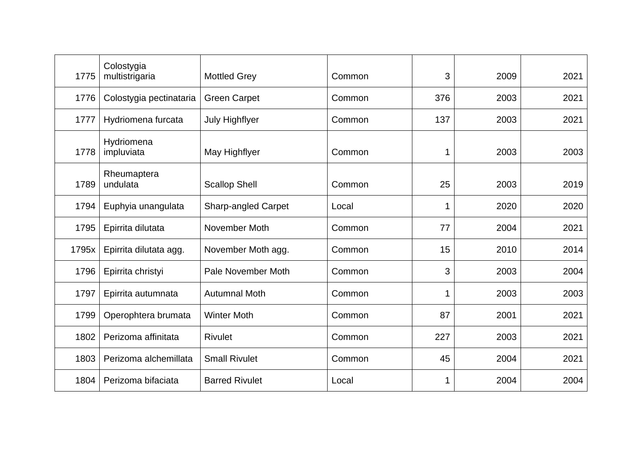| 1775  | Colostygia<br>multistrigaria | <b>Mottled Grey</b>        | Common | 3            | 2009 | 2021 |
|-------|------------------------------|----------------------------|--------|--------------|------|------|
| 1776  | Colostygia pectinataria      | <b>Green Carpet</b>        | Common | 376          | 2003 | 2021 |
| 1777  | Hydriomena furcata           | <b>July Highflyer</b>      | Common | 137          | 2003 | 2021 |
| 1778  | Hydriomena<br>impluviata     | May Highflyer              | Common | $\mathbf{1}$ | 2003 | 2003 |
| 1789  | Rheumaptera<br>undulata      | <b>Scallop Shell</b>       | Common | 25           | 2003 | 2019 |
| 1794  | Euphyia unangulata           | <b>Sharp-angled Carpet</b> | Local  |              | 2020 | 2020 |
| 1795  | Epirrita dilutata            | November Moth              | Common | 77           | 2004 | 2021 |
| 1795x | Epirrita dilutata agg.       | November Moth agg.         | Common | 15           | 2010 | 2014 |
| 1796  | Epirrita christyi            | Pale November Moth         | Common | 3            | 2003 | 2004 |
| 1797  | Epirrita autumnata           | <b>Autumnal Moth</b>       | Common |              | 2003 | 2003 |
| 1799  | Operophtera brumata          | <b>Winter Moth</b>         | Common | 87           | 2001 | 2021 |
| 1802  | Perizoma affinitata          | <b>Rivulet</b>             | Common | 227          | 2003 | 2021 |
| 1803  | Perizoma alchemillata        | <b>Small Rivulet</b>       | Common | 45           | 2004 | 2021 |
| 1804  | Perizoma bifaciata           | <b>Barred Rivulet</b>      | Local  |              | 2004 | 2004 |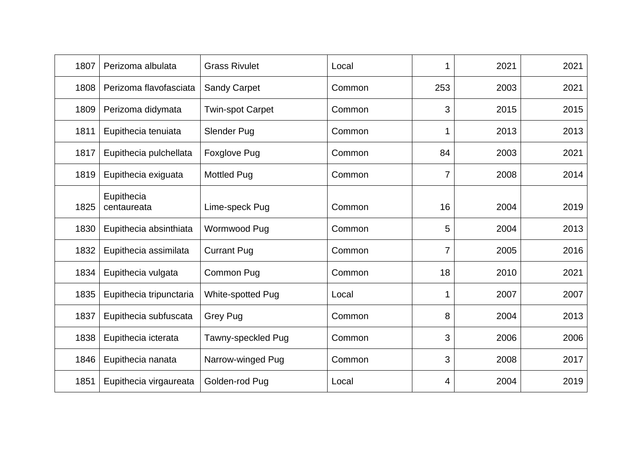| 1807 | Perizoma albulata         | <b>Grass Rivulet</b>    | Local  |     | 2021 | 2021 |
|------|---------------------------|-------------------------|--------|-----|------|------|
| 1808 | Perizoma flavofasciata    | <b>Sandy Carpet</b>     | Common | 253 | 2003 | 2021 |
| 1809 | Perizoma didymata         | <b>Twin-spot Carpet</b> | Common | 3   | 2015 | 2015 |
| 1811 | Eupithecia tenuiata       | Slender Pug             | Common |     | 2013 | 2013 |
| 1817 | Eupithecia pulchellata    | <b>Foxglove Pug</b>     | Common | 84  | 2003 | 2021 |
| 1819 | Eupithecia exiguata       | <b>Mottled Pug</b>      | Common | 7   | 2008 | 2014 |
| 1825 | Eupithecia<br>centaureata | Lime-speck Pug          | Common | 16  | 2004 | 2019 |
| 1830 | Eupithecia absinthiata    | Wormwood Pug            | Common | 5   | 2004 | 2013 |
| 1832 | Eupithecia assimilata     | <b>Currant Pug</b>      | Common | 7   | 2005 | 2016 |
| 1834 | Eupithecia vulgata        | Common Pug              | Common | 18  | 2010 | 2021 |
| 1835 | Eupithecia tripunctaria   | White-spotted Pug       | Local  |     | 2007 | 2007 |
| 1837 | Eupithecia subfuscata     | <b>Grey Pug</b>         | Common | 8   | 2004 | 2013 |
| 1838 | Eupithecia icterata       | Tawny-speckled Pug      | Common | 3   | 2006 | 2006 |
| 1846 | Eupithecia nanata         | Narrow-winged Pug       | Common | 3   | 2008 | 2017 |
| 1851 | Eupithecia virgaureata    | Golden-rod Pug          | Local  | 4   | 2004 | 2019 |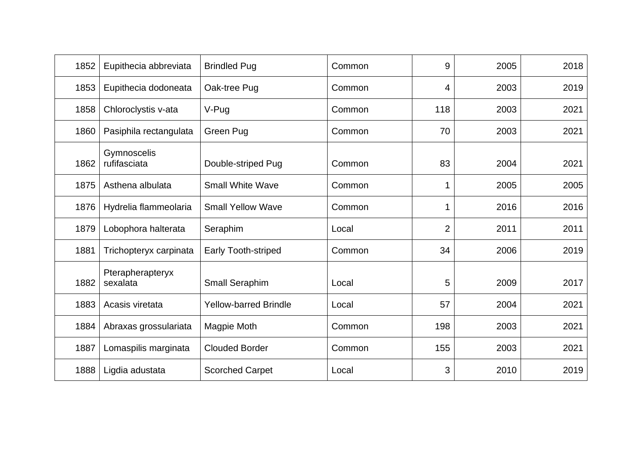| 1852 | Eupithecia abbreviata        | <b>Brindled Pug</b>          | Common | 9              | 2005 | 2018 |
|------|------------------------------|------------------------------|--------|----------------|------|------|
| 1853 | Eupithecia dodoneata         | Oak-tree Pug                 | Common | 4              | 2003 | 2019 |
| 1858 | Chloroclystis v-ata          | V-Pug                        | Common | 118            | 2003 | 2021 |
| 1860 | Pasiphila rectangulata       | Green Pug                    | Common | 70             | 2003 | 2021 |
| 1862 | Gymnoscelis<br>rufifasciata  | Double-striped Pug           | Common | 83             | 2004 | 2021 |
| 1875 | Asthena albulata             | <b>Small White Wave</b>      | Common |                | 2005 | 2005 |
| 1876 | Hydrelia flammeolaria        | <b>Small Yellow Wave</b>     | Common |                | 2016 | 2016 |
| 1879 | Lobophora halterata          | Seraphim                     | Local  | $\overline{2}$ | 2011 | 2011 |
| 1881 | Trichopteryx carpinata       | <b>Early Tooth-striped</b>   | Common | 34             | 2006 | 2019 |
| 1882 | Pterapherapteryx<br>sexalata | Small Seraphim               | Local  | 5              | 2009 | 2017 |
| 1883 | Acasis viretata              | <b>Yellow-barred Brindle</b> | Local  | 57             | 2004 | 2021 |
| 1884 | Abraxas grossulariata        | Magpie Moth                  | Common | 198            | 2003 | 2021 |
| 1887 | Lomaspilis marginata         | <b>Clouded Border</b>        | Common | 155            | 2003 | 2021 |
| 1888 | Ligdia adustata              | <b>Scorched Carpet</b>       | Local  | 3              | 2010 | 2019 |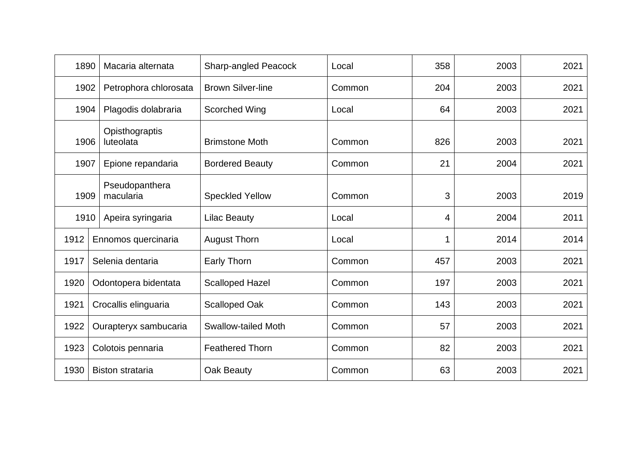| 1890 | Macaria alternata           | <b>Sharp-angled Peacock</b> | Local  | 358 | 2003 | 2021 |
|------|-----------------------------|-----------------------------|--------|-----|------|------|
| 1902 | Petrophora chlorosata       | <b>Brown Silver-line</b>    | Common | 204 | 2003 | 2021 |
| 1904 | Plagodis dolabraria         | <b>Scorched Wing</b>        | Local  | 64  | 2003 | 2021 |
| 1906 | Opisthograptis<br>luteolata | <b>Brimstone Moth</b>       | Common | 826 | 2003 | 2021 |
| 1907 | Epione repandaria           | <b>Bordered Beauty</b>      | Common | 21  | 2004 | 2021 |
| 1909 | Pseudopanthera<br>macularia | <b>Speckled Yellow</b>      | Common | 3   | 2003 | 2019 |
| 1910 | Apeira syringaria           | <b>Lilac Beauty</b>         | Local  | 4   | 2004 | 2011 |
| 1912 | Ennomos quercinaria         | <b>August Thorn</b>         | Local  |     | 2014 | 2014 |
| 1917 | Selenia dentaria            | Early Thorn                 | Common | 457 | 2003 | 2021 |
| 1920 | Odontopera bidentata        | <b>Scalloped Hazel</b>      | Common | 197 | 2003 | 2021 |
| 1921 | Crocallis elinguaria        | <b>Scalloped Oak</b>        | Common | 143 | 2003 | 2021 |
| 1922 | Ourapteryx sambucaria       | <b>Swallow-tailed Moth</b>  | Common | 57  | 2003 | 2021 |
| 1923 | Colotois pennaria           | <b>Feathered Thorn</b>      | Common | 82  | 2003 | 2021 |
| 1930 | <b>Biston strataria</b>     | Oak Beauty                  | Common | 63  | 2003 | 2021 |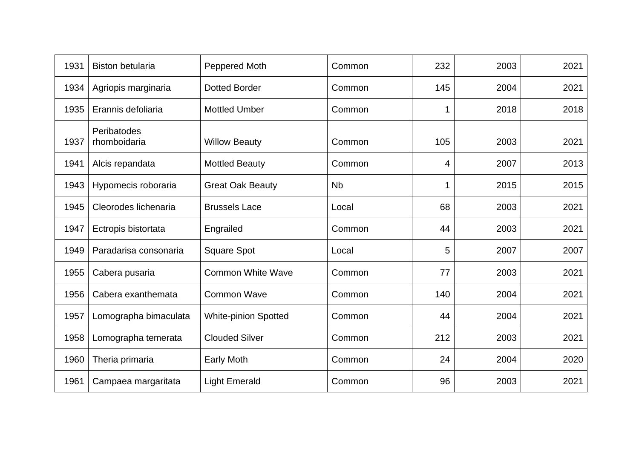| 1931 | <b>Biston betularia</b>     | Peppered Moth               | Common    | 232 | 2003 | 2021 |
|------|-----------------------------|-----------------------------|-----------|-----|------|------|
| 1934 | Agriopis marginaria         | <b>Dotted Border</b>        | Common    | 145 | 2004 | 2021 |
| 1935 | Erannis defoliaria          | <b>Mottled Umber</b>        | Common    |     | 2018 | 2018 |
| 1937 | Peribatodes<br>rhomboidaria | <b>Willow Beauty</b>        | Common    | 105 | 2003 | 2021 |
| 1941 | Alcis repandata             | <b>Mottled Beauty</b>       | Common    | 4   | 2007 | 2013 |
| 1943 | Hypomecis roboraria         | <b>Great Oak Beauty</b>     | <b>Nb</b> |     | 2015 | 2015 |
| 1945 | Cleorodes lichenaria        | <b>Brussels Lace</b>        | Local     | 68  | 2003 | 2021 |
| 1947 | Ectropis bistortata         | Engrailed                   | Common    | 44  | 2003 | 2021 |
| 1949 | Paradarisa consonaria       | <b>Square Spot</b>          | Local     | 5   | 2007 | 2007 |
| 1955 | Cabera pusaria              | <b>Common White Wave</b>    | Common    | 77  | 2003 | 2021 |
| 1956 | Cabera exanthemata          | <b>Common Wave</b>          | Common    | 140 | 2004 | 2021 |
| 1957 | Lomographa bimaculata       | <b>White-pinion Spotted</b> | Common    | 44  | 2004 | 2021 |
| 1958 | Lomographa temerata         | <b>Clouded Silver</b>       | Common    | 212 | 2003 | 2021 |
| 1960 | Theria primaria             | <b>Early Moth</b>           | Common    | 24  | 2004 | 2020 |
| 1961 | Campaea margaritata         | <b>Light Emerald</b>        | Common    | 96  | 2003 | 2021 |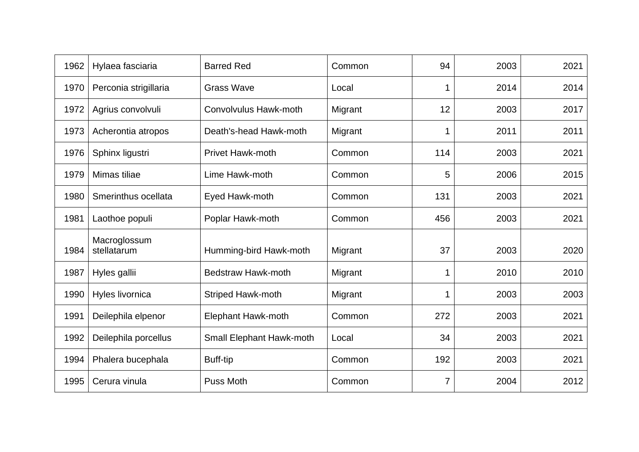| 1962 | Hylaea fasciaria            | <b>Barred Red</b>            | Common  | 94  | 2003 | 2021 |
|------|-----------------------------|------------------------------|---------|-----|------|------|
| 1970 | Perconia strigillaria       | <b>Grass Wave</b>            | Local   |     | 2014 | 2014 |
| 1972 | Agrius convolvuli           | <b>Convolvulus Hawk-moth</b> | Migrant | 12  | 2003 | 2017 |
| 1973 | Acherontia atropos          | Death's-head Hawk-moth       | Migrant |     | 2011 | 2011 |
| 1976 | Sphinx ligustri             | <b>Privet Hawk-moth</b>      | Common  | 114 | 2003 | 2021 |
| 1979 | Mimas tiliae                | Lime Hawk-moth               | Common  | 5   | 2006 | 2015 |
| 1980 | Smerinthus ocellata         | Eyed Hawk-moth               | Common  | 131 | 2003 | 2021 |
| 1981 | Laothoe populi              | Poplar Hawk-moth             | Common  | 456 | 2003 | 2021 |
| 1984 | Macroglossum<br>stellatarum | Humming-bird Hawk-moth       | Migrant | 37  | 2003 | 2020 |
| 1987 | Hyles gallii                | <b>Bedstraw Hawk-moth</b>    | Migrant |     | 2010 | 2010 |
| 1990 | Hyles livornica             | <b>Striped Hawk-moth</b>     | Migrant |     | 2003 | 2003 |
| 1991 | Deilephila elpenor          | <b>Elephant Hawk-moth</b>    | Common  | 272 | 2003 | 2021 |
| 1992 | Deilephila porcellus        | Small Elephant Hawk-moth     | Local   | 34  | 2003 | 2021 |
| 1994 | Phalera bucephala           | <b>Buff-tip</b>              | Common  | 192 | 2003 | 2021 |
| 1995 | Cerura vinula               | <b>Puss Moth</b>             | Common  | 7   | 2004 | 2012 |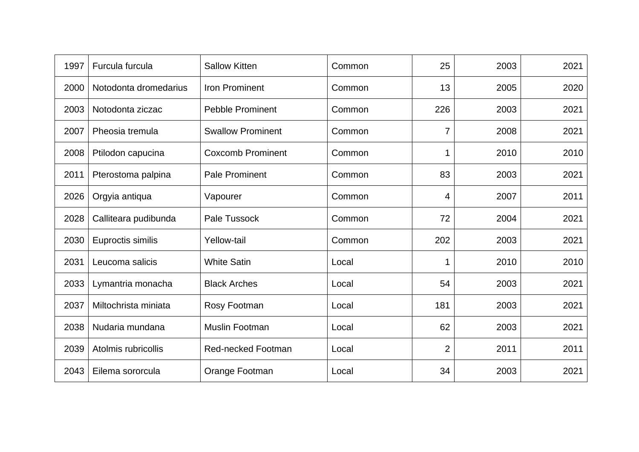| 1997 | Furcula furcula       | <b>Sallow Kitten</b>      | Common | 25             | 2003 | 2021 |
|------|-----------------------|---------------------------|--------|----------------|------|------|
| 2000 | Notodonta dromedarius | <b>Iron Prominent</b>     | Common | 13             | 2005 | 2020 |
| 2003 | Notodonta ziczac      | <b>Pebble Prominent</b>   | Common | 226            | 2003 | 2021 |
| 2007 | Pheosia tremula       | <b>Swallow Prominent</b>  | Common | 7              | 2008 | 2021 |
| 2008 | Ptilodon capucina     | <b>Coxcomb Prominent</b>  | Common |                | 2010 | 2010 |
| 2011 | Pterostoma palpina    | <b>Pale Prominent</b>     | Common | 83             | 2003 | 2021 |
| 2026 | Orgyia antiqua        | Vapourer                  | Common | 4              | 2007 | 2011 |
| 2028 | Calliteara pudibunda  | Pale Tussock              | Common | 72             | 2004 | 2021 |
| 2030 | Euproctis similis     | <b>Yellow-tail</b>        | Common | 202            | 2003 | 2021 |
| 2031 | Leucoma salicis       | <b>White Satin</b>        | Local  |                | 2010 | 2010 |
| 2033 | Lymantria monacha     | <b>Black Arches</b>       | Local  | 54             | 2003 | 2021 |
| 2037 | Miltochrista miniata  | Rosy Footman              | Local  | 181            | 2003 | 2021 |
| 2038 | Nudaria mundana       | Muslin Footman            | Local  | 62             | 2003 | 2021 |
| 2039 | Atolmis rubricollis   | <b>Red-necked Footman</b> | Local  | $\overline{2}$ | 2011 | 2011 |
| 2043 | Eilema sororcula      | Orange Footman            | Local  | 34             | 2003 | 2021 |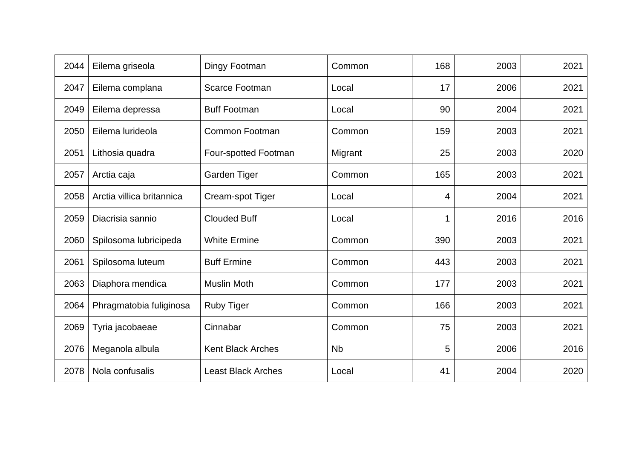| 2044 | Eilema griseola           | Dingy Footman             | Common    | 168 | 2003 | 2021 |
|------|---------------------------|---------------------------|-----------|-----|------|------|
| 2047 | Eilema complana           | <b>Scarce Footman</b>     | Local     | 17  | 2006 | 2021 |
| 2049 | Eilema depressa           | <b>Buff Footman</b>       | Local     | 90  | 2004 | 2021 |
| 2050 | Eilema lurideola          | Common Footman            | Common    | 159 | 2003 | 2021 |
| 2051 | Lithosia quadra           | Four-spotted Footman      | Migrant   | 25  | 2003 | 2020 |
| 2057 | Arctia caja               | Garden Tiger              | Common    | 165 | 2003 | 2021 |
| 2058 | Arctia villica britannica | Cream-spot Tiger          | Local     | 4   | 2004 | 2021 |
| 2059 | Diacrisia sannio          | <b>Clouded Buff</b>       | Local     |     | 2016 | 2016 |
| 2060 | Spilosoma lubricipeda     | <b>White Ermine</b>       | Common    | 390 | 2003 | 2021 |
| 2061 | Spilosoma luteum          | <b>Buff Ermine</b>        | Common    | 443 | 2003 | 2021 |
| 2063 | Diaphora mendica          | <b>Muslin Moth</b>        | Common    | 177 | 2003 | 2021 |
| 2064 | Phragmatobia fuliginosa   | <b>Ruby Tiger</b>         | Common    | 166 | 2003 | 2021 |
| 2069 | Tyria jacobaeae           | Cinnabar                  | Common    | 75  | 2003 | 2021 |
| 2076 | Meganola albula           | <b>Kent Black Arches</b>  | <b>Nb</b> | 5   | 2006 | 2016 |
| 2078 | Nola confusalis           | <b>Least Black Arches</b> | Local     | 41  | 2004 | 2020 |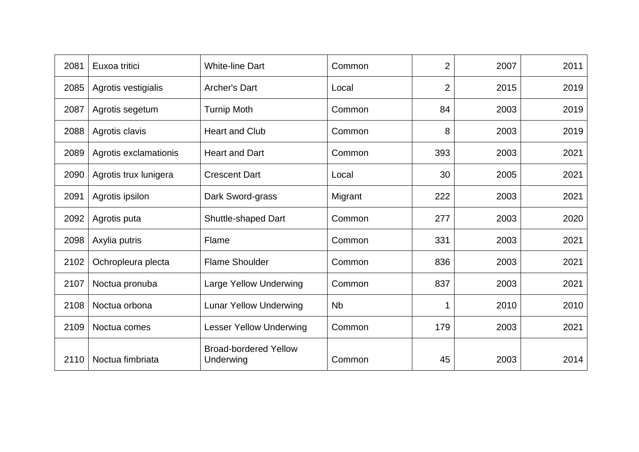| 2081 | Euxoa tritici         | <b>White-line Dart</b>                    | Common               | 2              | 2007 | 2011 |
|------|-----------------------|-------------------------------------------|----------------------|----------------|------|------|
| 2085 | Agrotis vestigialis   | <b>Archer's Dart</b>                      | Local                | $\overline{2}$ | 2015 | 2019 |
| 2087 | Agrotis segetum       | <b>Turnip Moth</b>                        | Common               | 84             | 2003 | 2019 |
| 2088 | Agrotis clavis        | <b>Heart and Club</b>                     | Common               | 8              | 2003 | 2019 |
| 2089 | Agrotis exclamationis | <b>Heart and Dart</b>                     | Common               | 393            | 2003 | 2021 |
| 2090 | Agrotis trux lunigera | <b>Crescent Dart</b>                      | Local                | 30             | 2005 | 2021 |
| 2091 | Agrotis ipsilon       | Dark Sword-grass                          | Migrant              | 222            | 2003 | 2021 |
| 2092 | Agrotis puta          | Shuttle-shaped Dart                       | Common               | 277            | 2003 | 2020 |
| 2098 | Axylia putris         | Flame                                     | Common               | 331            | 2003 | 2021 |
| 2102 | Ochropleura plecta    | <b>Flame Shoulder</b>                     | Common               | 836            | 2003 | 2021 |
| 2107 | Noctua pronuba        | <b>Large Yellow Underwing</b>             | Common               | 837            | 2003 | 2021 |
| 2108 | Noctua orbona         | <b>Lunar Yellow Underwing</b>             | <b>N<sub>b</sub></b> |                | 2010 | 2010 |
| 2109 | Noctua comes          | Lesser Yellow Underwing                   | Common               | 179            | 2003 | 2021 |
| 2110 | Noctua fimbriata      | <b>Broad-bordered Yellow</b><br>Underwing | Common               | 45             | 2003 | 2014 |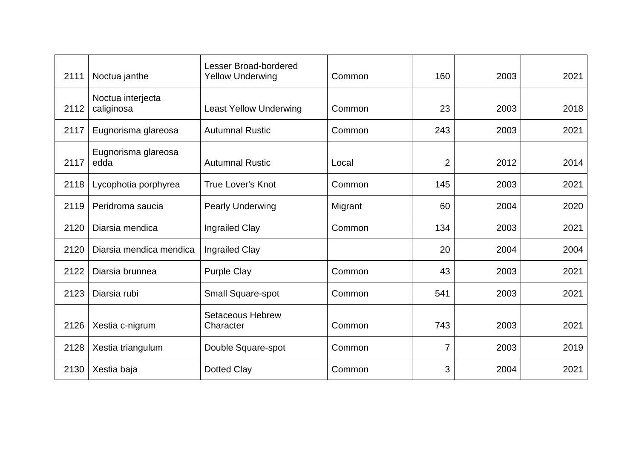| 2111 | Noctua janthe                   | <b>Lesser Broad-bordered</b><br><b>Yellow Underwing</b> | Common  | 160            | 2003 | 2021 |
|------|---------------------------------|---------------------------------------------------------|---------|----------------|------|------|
| 2112 | Noctua interjecta<br>caliginosa | <b>Least Yellow Underwing</b>                           | Common  | 23             | 2003 | 2018 |
| 2117 | Eugnorisma glareosa             | <b>Autumnal Rustic</b>                                  | Common  | 243            | 2003 | 2021 |
| 2117 | Eugnorisma glareosa<br>edda     | <b>Autumnal Rustic</b>                                  | Local   | $\overline{2}$ | 2012 | 2014 |
| 2118 | Lycophotia porphyrea            | <b>True Lover's Knot</b>                                | Common  | 145            | 2003 | 2021 |
| 2119 | Peridroma saucia                | <b>Pearly Underwing</b>                                 | Migrant | 60             | 2004 | 2020 |
| 2120 | Diarsia mendica                 | Ingrailed Clay                                          | Common  | 134            | 2003 | 2021 |
| 2120 | Diarsia mendica mendica         | <b>Ingrailed Clay</b>                                   |         | 20             | 2004 | 2004 |
| 2122 | Diarsia brunnea                 | <b>Purple Clay</b>                                      | Common  | 43             | 2003 | 2021 |
| 2123 | Diarsia rubi                    | Small Square-spot                                       | Common  | 541            | 2003 | 2021 |
| 2126 | Xestia c-nigrum                 | <b>Setaceous Hebrew</b><br>Character                    | Common  | 743            | 2003 | 2021 |
| 2128 | Xestia triangulum               | Double Square-spot                                      | Common  | 7              | 2003 | 2019 |
| 2130 | Xestia baja                     | <b>Dotted Clay</b>                                      | Common  | 3              | 2004 | 2021 |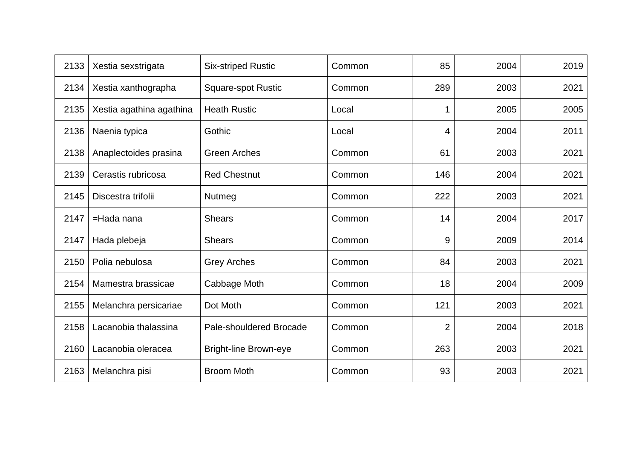| 2133 | Xestia sexstrigata       | <b>Six-striped Rustic</b>    | Common | 85             | 2004 | 2019 |
|------|--------------------------|------------------------------|--------|----------------|------|------|
| 2134 | Xestia xanthographa      | <b>Square-spot Rustic</b>    | Common | 289            | 2003 | 2021 |
| 2135 | Xestia agathina agathina | <b>Heath Rustic</b>          | Local  |                | 2005 | 2005 |
| 2136 | Naenia typica            | Gothic                       | Local  | 4              | 2004 | 2011 |
| 2138 | Anaplectoides prasina    | <b>Green Arches</b>          | Common | 61             | 2003 | 2021 |
| 2139 | Cerastis rubricosa       | <b>Red Chestnut</b>          | Common | 146            | 2004 | 2021 |
| 2145 | Discestra trifolii       | Nutmeg                       | Common | 222            | 2003 | 2021 |
| 2147 | =Hada nana               | <b>Shears</b>                | Common | 14             | 2004 | 2017 |
| 2147 | Hada plebeja             | <b>Shears</b>                | Common | 9              | 2009 | 2014 |
| 2150 | Polia nebulosa           | <b>Grey Arches</b>           | Common | 84             | 2003 | 2021 |
| 2154 | Mamestra brassicae       | Cabbage Moth                 | Common | 18             | 2004 | 2009 |
| 2155 | Melanchra persicariae    | Dot Moth                     | Common | 121            | 2003 | 2021 |
| 2158 | Lacanobia thalassina     | Pale-shouldered Brocade      | Common | $\overline{2}$ | 2004 | 2018 |
| 2160 | Lacanobia oleracea       | <b>Bright-line Brown-eye</b> | Common | 263            | 2003 | 2021 |
| 2163 | Melanchra pisi           | <b>Broom Moth</b>            | Common | 93             | 2003 | 2021 |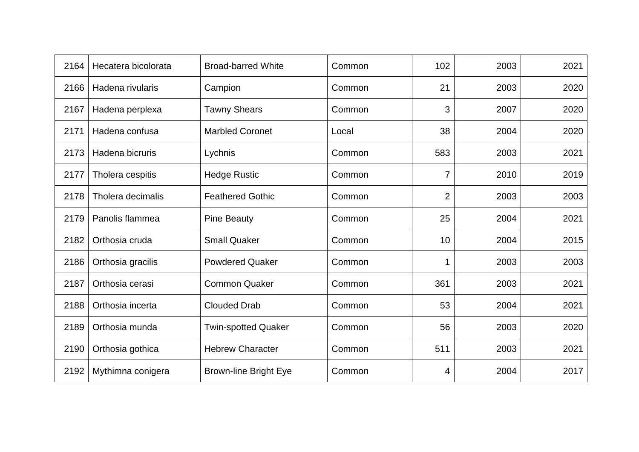| 2164 | Hecatera bicolorata | <b>Broad-barred White</b>    | Common | 102            | 2003 | 2021 |
|------|---------------------|------------------------------|--------|----------------|------|------|
| 2166 | Hadena rivularis    | Campion                      | Common | 21             | 2003 | 2020 |
| 2167 | Hadena perplexa     | <b>Tawny Shears</b>          | Common | 3              | 2007 | 2020 |
| 2171 | Hadena confusa      | <b>Marbled Coronet</b>       | Local  | 38             | 2004 | 2020 |
| 2173 | Hadena bicruris     | Lychnis                      | Common | 583            | 2003 | 2021 |
| 2177 | Tholera cespitis    | <b>Hedge Rustic</b>          | Common | 7              | 2010 | 2019 |
| 2178 | Tholera decimalis   | <b>Feathered Gothic</b>      | Common | $\overline{2}$ | 2003 | 2003 |
| 2179 | Panolis flammea     | <b>Pine Beauty</b>           | Common | 25             | 2004 | 2021 |
| 2182 | Orthosia cruda      | <b>Small Quaker</b>          | Common | 10             | 2004 | 2015 |
| 2186 | Orthosia gracilis   | <b>Powdered Quaker</b>       | Common |                | 2003 | 2003 |
| 2187 | Orthosia cerasi     | <b>Common Quaker</b>         | Common | 361            | 2003 | 2021 |
| 2188 | Orthosia incerta    | <b>Clouded Drab</b>          | Common | 53             | 2004 | 2021 |
| 2189 | Orthosia munda      | <b>Twin-spotted Quaker</b>   | Common | 56             | 2003 | 2020 |
| 2190 | Orthosia gothica    | <b>Hebrew Character</b>      | Common | 511            | 2003 | 2021 |
| 2192 | Mythimna conigera   | <b>Brown-line Bright Eye</b> | Common | 4              | 2004 | 2017 |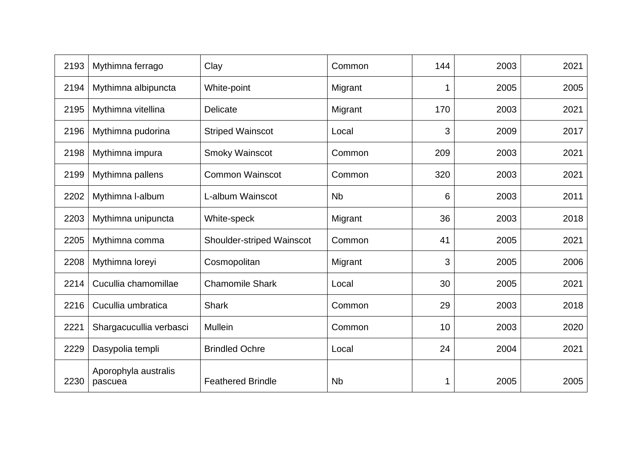| 2193 | Mythimna ferrago                | Clay                             | Common               | 144 | 2003 | 2021 |
|------|---------------------------------|----------------------------------|----------------------|-----|------|------|
| 2194 | Mythimna albipuncta             | White-point                      | Migrant              | 1   | 2005 | 2005 |
| 2195 | Mythimna vitellina              | Delicate                         | Migrant              | 170 | 2003 | 2021 |
| 2196 | Mythimna pudorina               | <b>Striped Wainscot</b>          | Local                | 3   | 2009 | 2017 |
| 2198 | Mythimna impura                 | <b>Smoky Wainscot</b>            | Common               | 209 | 2003 | 2021 |
| 2199 | Mythimna pallens                | <b>Common Wainscot</b>           | Common               | 320 | 2003 | 2021 |
| 2202 | Mythimna I-album                | L-album Wainscot                 | <b>N<sub>b</sub></b> | 6   | 2003 | 2011 |
| 2203 | Mythimna unipuncta              | White-speck                      | Migrant              | 36  | 2003 | 2018 |
| 2205 | Mythimna comma                  | <b>Shoulder-striped Wainscot</b> | Common               | 41  | 2005 | 2021 |
| 2208 | Mythimna loreyi                 | Cosmopolitan                     | Migrant              | 3   | 2005 | 2006 |
| 2214 | Cucullia chamomillae            | <b>Chamomile Shark</b>           | Local                | 30  | 2005 | 2021 |
| 2216 | Cucullia umbratica              | <b>Shark</b>                     | Common               | 29  | 2003 | 2018 |
| 2221 | Shargacucullia verbasci         | <b>Mullein</b>                   | Common               | 10  | 2003 | 2020 |
| 2229 | Dasypolia templi                | <b>Brindled Ochre</b>            | Local                | 24  | 2004 | 2021 |
| 2230 | Aporophyla australis<br>pascuea | <b>Feathered Brindle</b>         | <b>N<sub>b</sub></b> | 1   | 2005 | 2005 |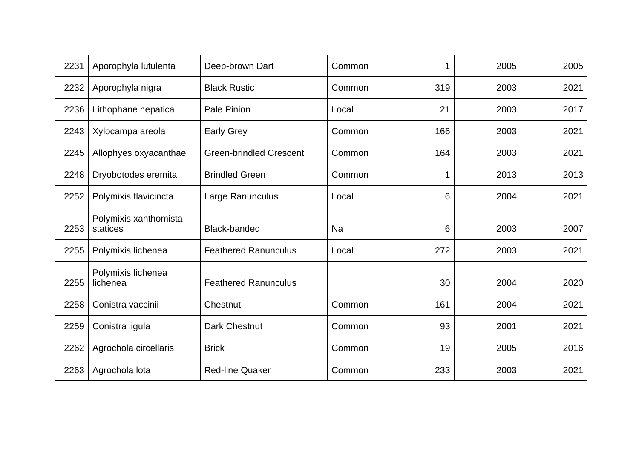| 2231 | Aporophyla lutulenta              | Deep-brown Dart                | Common |     | 2005 | 2005 |
|------|-----------------------------------|--------------------------------|--------|-----|------|------|
| 2232 | Aporophyla nigra                  | <b>Black Rustic</b>            | Common | 319 | 2003 | 2021 |
| 2236 | Lithophane hepatica               | Pale Pinion                    | Local  | 21  | 2003 | 2017 |
| 2243 | Xylocampa areola                  | <b>Early Grey</b>              | Common | 166 | 2003 | 2021 |
| 2245 | Allophyes oxyacanthae             | <b>Green-brindled Crescent</b> | Common | 164 | 2003 | 2021 |
| 2248 | Dryobotodes eremita               | <b>Brindled Green</b>          | Common |     | 2013 | 2013 |
| 2252 | Polymixis flavicincta             | Large Ranunculus               | Local  | 6   | 2004 | 2021 |
| 2253 | Polymixis xanthomista<br>statices | <b>Black-banded</b>            | Na     | 6   | 2003 | 2007 |
| 2255 | Polymixis lichenea                | <b>Feathered Ranunculus</b>    | Local  | 272 | 2003 | 2021 |
| 2255 | Polymixis lichenea<br>lichenea    | <b>Feathered Ranunculus</b>    |        | 30  | 2004 | 2020 |
| 2258 | Conistra vaccinii                 | Chestnut                       | Common | 161 | 2004 | 2021 |
| 2259 | Conistra ligula                   | <b>Dark Chestnut</b>           | Common | 93  | 2001 | 2021 |
| 2262 | Agrochola circellaris             | <b>Brick</b>                   | Common | 19  | 2005 | 2016 |
| 2263 | Agrochola lota                    | <b>Red-line Quaker</b>         | Common | 233 | 2003 | 2021 |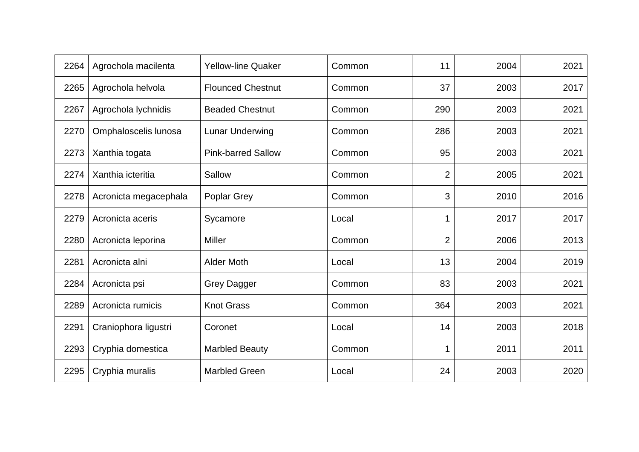| 2264 | Agrochola macilenta   | <b>Yellow-line Quaker</b> | Common | 11             | 2004 | 2021 |
|------|-----------------------|---------------------------|--------|----------------|------|------|
| 2265 | Agrochola helvola     | <b>Flounced Chestnut</b>  | Common | 37             | 2003 | 2017 |
| 2267 | Agrochola lychnidis   | <b>Beaded Chestnut</b>    | Common | 290            | 2003 | 2021 |
| 2270 | Omphaloscelis lunosa  | Lunar Underwing           | Common | 286            | 2003 | 2021 |
| 2273 | Xanthia togata        | <b>Pink-barred Sallow</b> | Common | 95             | 2003 | 2021 |
| 2274 | Xanthia icteritia     | Sallow                    | Common | 2              | 2005 | 2021 |
| 2278 | Acronicta megacephala | <b>Poplar Grey</b>        | Common | 3              | 2010 | 2016 |
| 2279 | Acronicta aceris      | Sycamore                  | Local  |                | 2017 | 2017 |
| 2280 | Acronicta leporina    | <b>Miller</b>             | Common | $\overline{2}$ | 2006 | 2013 |
| 2281 | Acronicta alni        | <b>Alder Moth</b>         | Local  | 13             | 2004 | 2019 |
| 2284 | Acronicta psi         | <b>Grey Dagger</b>        | Common | 83             | 2003 | 2021 |
| 2289 | Acronicta rumicis     | <b>Knot Grass</b>         | Common | 364            | 2003 | 2021 |
| 2291 | Craniophora ligustri  | Coronet                   | Local  | 14             | 2003 | 2018 |
| 2293 | Cryphia domestica     | <b>Marbled Beauty</b>     | Common |                | 2011 | 2011 |
| 2295 | Cryphia muralis       | <b>Marbled Green</b>      | Local  | 24             | 2003 | 2020 |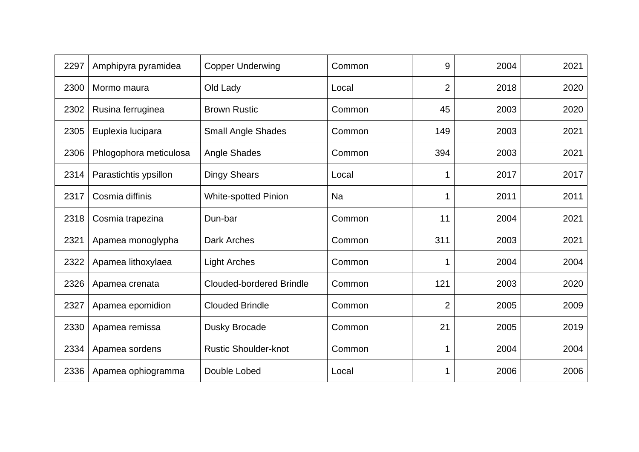| 2297 | Amphipyra pyramidea    | <b>Copper Underwing</b>         | Common    | 9              | 2004 | 2021 |
|------|------------------------|---------------------------------|-----------|----------------|------|------|
| 2300 | Mormo maura            | Old Lady                        | Local     | 2              | 2018 | 2020 |
| 2302 | Rusina ferruginea      | <b>Brown Rustic</b>             | Common    | 45             | 2003 | 2020 |
| 2305 | Euplexia lucipara      | <b>Small Angle Shades</b>       | Common    | 149            | 2003 | 2021 |
| 2306 | Phlogophora meticulosa | Angle Shades                    | Common    | 394            | 2003 | 2021 |
| 2314 | Parastichtis ypsillon  | <b>Dingy Shears</b>             | Local     |                | 2017 | 2017 |
| 2317 | Cosmia diffinis        | <b>White-spotted Pinion</b>     | <b>Na</b> |                | 2011 | 2011 |
| 2318 | Cosmia trapezina       | Dun-bar                         | Common    | 11             | 2004 | 2021 |
| 2321 | Apamea monoglypha      | Dark Arches                     | Common    | 311            | 2003 | 2021 |
| 2322 | Apamea lithoxylaea     | <b>Light Arches</b>             | Common    |                | 2004 | 2004 |
| 2326 | Apamea crenata         | <b>Clouded-bordered Brindle</b> | Common    | 121            | 2003 | 2020 |
| 2327 | Apamea epomidion       | <b>Clouded Brindle</b>          | Common    | $\overline{2}$ | 2005 | 2009 |
| 2330 | Apamea remissa         | Dusky Brocade                   | Common    | 21             | 2005 | 2019 |
| 2334 | Apamea sordens         | <b>Rustic Shoulder-knot</b>     | Common    |                | 2004 | 2004 |
| 2336 | Apamea ophiogramma     | Double Lobed                    | Local     |                | 2006 | 2006 |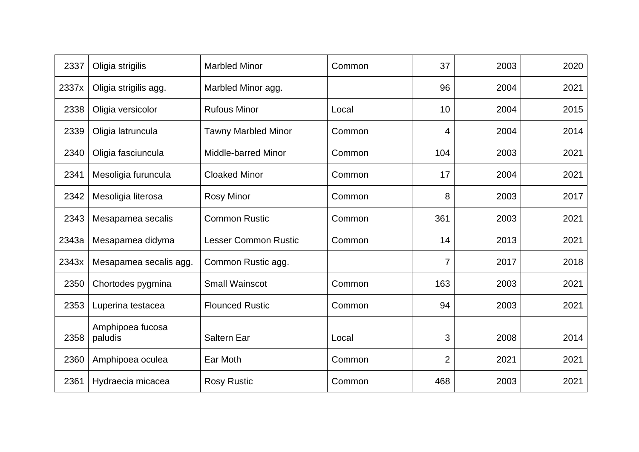| 2337  | Oligia strigilis            | <b>Marbled Minor</b>        | Common | 37  | 2003 | 2020 |
|-------|-----------------------------|-----------------------------|--------|-----|------|------|
| 2337x | Oligia strigilis agg.       | Marbled Minor agg.          |        | 96  | 2004 | 2021 |
| 2338  | Oligia versicolor           | <b>Rufous Minor</b>         | Local  | 10  | 2004 | 2015 |
| 2339  | Oligia latruncula           | <b>Tawny Marbled Minor</b>  | Common | 4   | 2004 | 2014 |
| 2340  | Oligia fasciuncula          | <b>Middle-barred Minor</b>  | Common | 104 | 2003 | 2021 |
| 2341  | Mesoligia furuncula         | <b>Cloaked Minor</b>        | Common | 17  | 2004 | 2021 |
| 2342  | Mesoligia literosa          | <b>Rosy Minor</b>           | Common | 8   | 2003 | 2017 |
| 2343  | Mesapamea secalis           | <b>Common Rustic</b>        | Common | 361 | 2003 | 2021 |
| 2343a | Mesapamea didyma            | <b>Lesser Common Rustic</b> | Common | 14  | 2013 | 2021 |
| 2343x | Mesapamea secalis agg.      | Common Rustic agg.          |        | 7   | 2017 | 2018 |
| 2350  | Chortodes pygmina           | <b>Small Wainscot</b>       | Common | 163 | 2003 | 2021 |
| 2353  | Luperina testacea           | <b>Flounced Rustic</b>      | Common | 94  | 2003 | 2021 |
| 2358  | Amphipoea fucosa<br>paludis | <b>Saltern Ear</b>          | Local  | 3   | 2008 | 2014 |
| 2360  | Amphipoea oculea            | Ear Moth                    | Common | 2   | 2021 | 2021 |
| 2361  | Hydraecia micacea           | <b>Rosy Rustic</b>          | Common | 468 | 2003 | 2021 |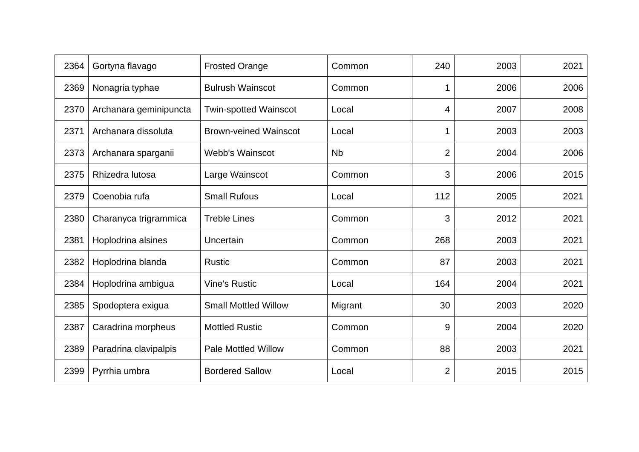| 2364 | Gortyna flavago        | <b>Frosted Orange</b>        | Common    | 240            | 2003 | 2021 |
|------|------------------------|------------------------------|-----------|----------------|------|------|
| 2369 | Nonagria typhae        | <b>Bulrush Wainscot</b>      | Common    |                | 2006 | 2006 |
| 2370 | Archanara geminipuncta | <b>Twin-spotted Wainscot</b> | Local     | 4              | 2007 | 2008 |
| 2371 | Archanara dissoluta    | <b>Brown-veined Wainscot</b> | Local     |                | 2003 | 2003 |
| 2373 | Archanara sparganii    | <b>Webb's Wainscot</b>       | <b>Nb</b> | $\overline{2}$ | 2004 | 2006 |
| 2375 | Rhizedra lutosa        | Large Wainscot               | Common    | 3              | 2006 | 2015 |
| 2379 | Coenobia rufa          | <b>Small Rufous</b>          | Local     | 112            | 2005 | 2021 |
| 2380 | Charanyca trigrammica  | <b>Treble Lines</b>          | Common    | 3              | 2012 | 2021 |
| 2381 | Hoplodrina alsines     | Uncertain                    | Common    | 268            | 2003 | 2021 |
| 2382 | Hoplodrina blanda      | <b>Rustic</b>                | Common    | 87             | 2003 | 2021 |
| 2384 | Hoplodrina ambigua     | <b>Vine's Rustic</b>         | Local     | 164            | 2004 | 2021 |
| 2385 | Spodoptera exigua      | <b>Small Mottled Willow</b>  | Migrant   | 30             | 2003 | 2020 |
| 2387 | Caradrina morpheus     | <b>Mottled Rustic</b>        | Common    | 9              | 2004 | 2020 |
| 2389 | Paradrina clavipalpis  | <b>Pale Mottled Willow</b>   | Common    | 88             | 2003 | 2021 |
| 2399 | Pyrrhia umbra          | <b>Bordered Sallow</b>       | Local     | 2              | 2015 | 2015 |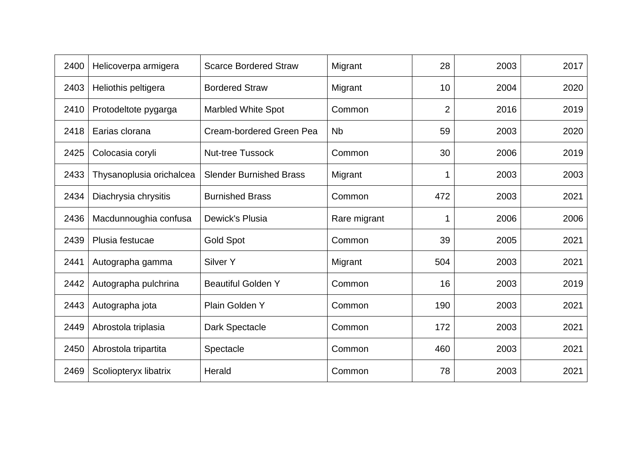| 2400 | Helicoverpa armigera     | <b>Scarce Bordered Straw</b>   | Migrant      | 28  | 2003 | 2017 |
|------|--------------------------|--------------------------------|--------------|-----|------|------|
| 2403 | Heliothis peltigera      | <b>Bordered Straw</b>          | Migrant      | 10  | 2004 | 2020 |
| 2410 | Protodeltote pygarga     | <b>Marbled White Spot</b>      | Common       | 2   | 2016 | 2019 |
| 2418 | Earias clorana           | Cream-bordered Green Pea       | <b>Nb</b>    | 59  | 2003 | 2020 |
| 2425 | Colocasia coryli         | <b>Nut-tree Tussock</b>        | Common       | 30  | 2006 | 2019 |
| 2433 | Thysanoplusia orichalcea | <b>Slender Burnished Brass</b> | Migrant      |     | 2003 | 2003 |
| 2434 | Diachrysia chrysitis     | <b>Burnished Brass</b>         | Common       | 472 | 2003 | 2021 |
| 2436 | Macdunnoughia confusa    | Dewick's Plusia                | Rare migrant |     | 2006 | 2006 |
| 2439 | Plusia festucae          | <b>Gold Spot</b>               | Common       | 39  | 2005 | 2021 |
| 2441 | Autographa gamma         | Silver Y                       | Migrant      | 504 | 2003 | 2021 |
| 2442 | Autographa pulchrina     | <b>Beautiful Golden Y</b>      | Common       | 16  | 2003 | 2019 |
| 2443 | Autographa jota          | Plain Golden Y                 | Common       | 190 | 2003 | 2021 |
| 2449 | Abrostola triplasia      | Dark Spectacle                 | Common       | 172 | 2003 | 2021 |
| 2450 | Abrostola tripartita     | Spectacle                      | Common       | 460 | 2003 | 2021 |
| 2469 | Scoliopteryx libatrix    | Herald                         | Common       | 78  | 2003 | 2021 |